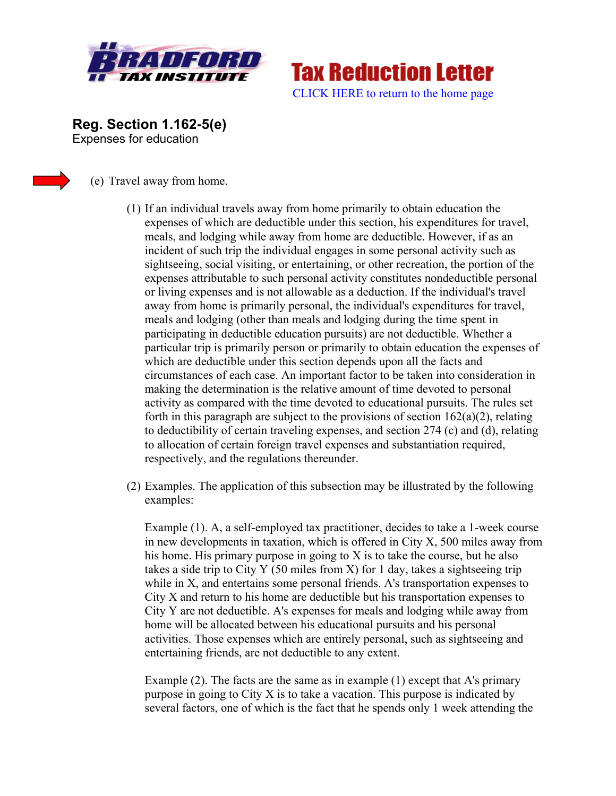

**Tax Reduction Letter** [CLICK HERE to return to the home page](http://www.bradfordtaxinstitute.com/) 

**Reg. Section 1.162-5(e)**  Expenses for education



(e) Travel away from home.

- (1) If an individual travels away from home primarily to obtain education the expenses of which are deductible under this section, his expenditures for travel, meals, and lodging while away from home are deductible. However, if as an incident of such trip the individual engages in some personal activity such as sightseeing, social visiting, or entertaining, or other recreation, the portion of the expenses attributable to such personal activity constitutes nondeductible personal or living expenses and is not allowable as a deduction. If the individual's travel away from home is primarily personal, the individual's expenditures for travel, meals and lodging (other than meals and lodging during the time spent in participating in deductible education pursuits) are not deductible. Whether a particular trip is primarily person or primarily to obtain education the expenses of which are deductible under this section depends upon all the facts and circumstances of each case. An important factor to be taken into consideration in making the determination is the relative amount of time devoted to personal activity as compared with the time devoted to educational pursuits. The rules set forth in this paragraph are subject to the provisions of section  $162(a)(2)$ , relating to deductibility of certain traveling expenses, and section 274 (c) and (d), relating to allocation of certain foreign travel expenses and substantiation required, respectively, and the regulations thereunder.
- (2) Examples. The application of this subsection may be illustrated by the following examples:

Example (1). A, a self-employed tax practitioner, decides to take a 1-week course in new developments in taxation, which is offered in City X, 500 miles away from his home. His primary purpose in going to X is to take the course, but he also takes a side trip to City Y (50 miles from X) for 1 day, takes a sightseeing trip while in X, and entertains some personal friends. A's transportation expenses to City X and return to his home are deductible but his transportation expenses to City Y are not deductible. A's expenses for meals and lodging while away from home will be allocated between his educational pursuits and his personal activities. Those expenses which are entirely personal, such as sightseeing and entertaining friends, are not deductible to any extent.

Example (2). The facts are the same as in example (1) except that A's primary purpose in going to City X is to take a vacation. This purpose is indicated by several factors, one of which is the fact that he spends only 1 week attending the